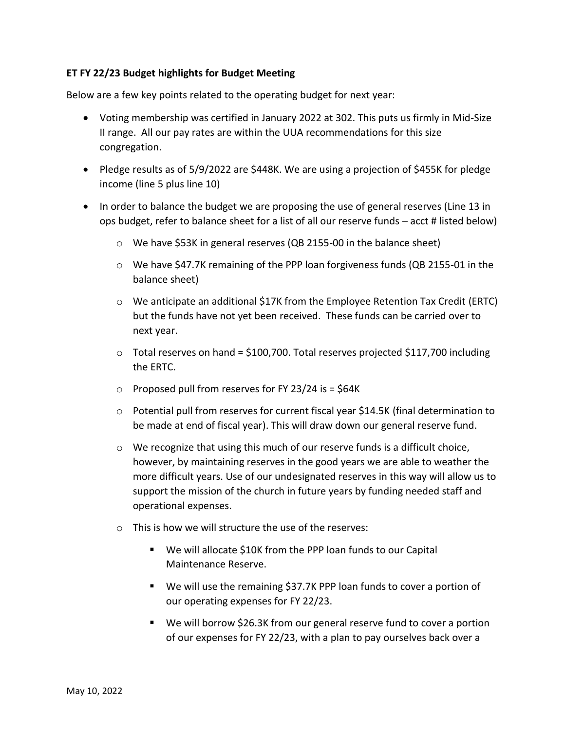## **ET FY 22/23 Budget highlights for Budget Meeting**

Below are a few key points related to the operating budget for next year:

- Voting membership was certified in January 2022 at 302. This puts us firmly in Mid-Size II range. All our pay rates are within the UUA recommendations for this size congregation.
- Pledge results as of 5/9/2022 are \$448K. We are using a projection of \$455K for pledge income (line 5 plus line 10)
- In order to balance the budget we are proposing the use of general reserves (Line 13 in ops budget, refer to balance sheet for a list of all our reserve funds – acct # listed below)
	- $\circ$  We have \$53K in general reserves (QB 2155-00 in the balance sheet)
	- $\circ$  We have \$47.7K remaining of the PPP loan forgiveness funds (QB 2155-01 in the balance sheet)
	- $\circ$  We anticipate an additional \$17K from the Employee Retention Tax Credit (ERTC) but the funds have not yet been received. These funds can be carried over to next year.
	- $\circ$  Total reserves on hand = \$100,700. Total reserves projected \$117,700 including the ERTC.
	- $\circ$  Proposed pull from reserves for FY 23/24 is = \$64K
	- $\circ$  Potential pull from reserves for current fiscal year \$14.5K (final determination to be made at end of fiscal year). This will draw down our general reserve fund.
	- $\circ$  We recognize that using this much of our reserve funds is a difficult choice, however, by maintaining reserves in the good years we are able to weather the more difficult years. Use of our undesignated reserves in this way will allow us to support the mission of the church in future years by funding needed staff and operational expenses.
	- o This is how we will structure the use of the reserves:
		- We will allocate \$10K from the PPP loan funds to our Capital Maintenance Reserve.
		- We will use the remaining \$37.7K PPP loan funds to cover a portion of our operating expenses for FY 22/23.
		- We will borrow \$26.3K from our general reserve fund to cover a portion of our expenses for FY 22/23, with a plan to pay ourselves back over a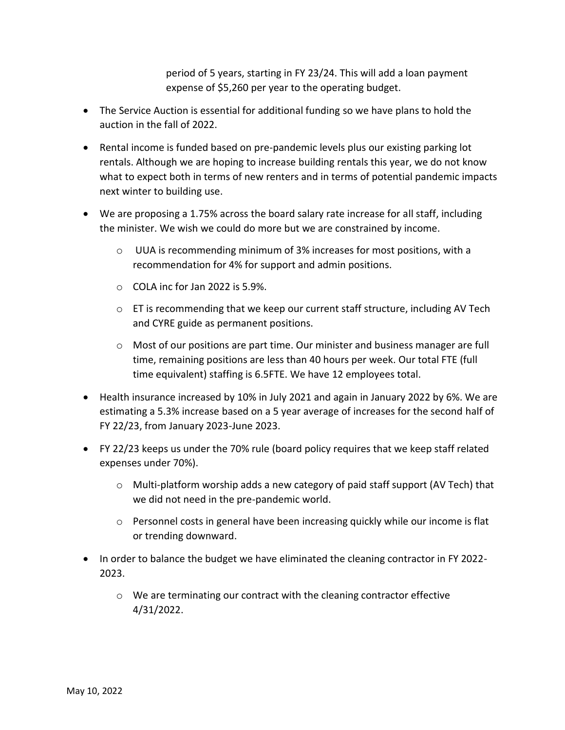period of 5 years, starting in FY 23/24. This will add a loan payment expense of \$5,260 per year to the operating budget.

- The Service Auction is essential for additional funding so we have plans to hold the auction in the fall of 2022.
- Rental income is funded based on pre-pandemic levels plus our existing parking lot rentals. Although we are hoping to increase building rentals this year, we do not know what to expect both in terms of new renters and in terms of potential pandemic impacts next winter to building use.
- We are proposing a 1.75% across the board salary rate increase for all staff, including the minister. We wish we could do more but we are constrained by income.
	- $\circ$  UUA is recommending minimum of 3% increases for most positions, with a recommendation for 4% for support and admin positions.
	- o COLA inc for Jan 2022 is 5.9%.
	- o ET is recommending that we keep our current staff structure, including AV Tech and CYRE guide as permanent positions.
	- $\circ$  Most of our positions are part time. Our minister and business manager are full time, remaining positions are less than 40 hours per week. Our total FTE (full time equivalent) staffing is 6.5FTE. We have 12 employees total.
- Health insurance increased by 10% in July 2021 and again in January 2022 by 6%. We are estimating a 5.3% increase based on a 5 year average of increases for the second half of FY 22/23, from January 2023-June 2023.
- FY 22/23 keeps us under the 70% rule (board policy requires that we keep staff related expenses under 70%).
	- $\circ$  Multi-platform worship adds a new category of paid staff support (AV Tech) that we did not need in the pre-pandemic world.
	- o Personnel costs in general have been increasing quickly while our income is flat or trending downward.
- In order to balance the budget we have eliminated the cleaning contractor in FY 2022-2023.
	- o We are terminating our contract with the cleaning contractor effective 4/31/2022.